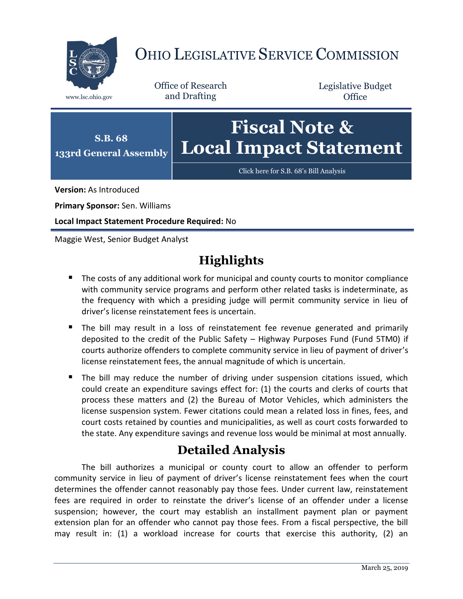

# OHIO LEGISLATIVE SERVICE COMMISSION

Office of Research www.lsc.ohio.gov and Drafting

Legislative Budget **Office** 



**Version:** As Introduced

**Primary Sponsor:** Sen. Williams

**Local Impact Statement Procedure Required:** No

Maggie West, Senior Budget Analyst

# **Highlights**

- The costs of any additional work for municipal and county courts to monitor compliance with community service programs and perform other related tasks is indeterminate, as the frequency with which a presiding judge will permit community service in lieu of driver's license reinstatement fees is uncertain.
- The bill may result in a loss of reinstatement fee revenue generated and primarily deposited to the credit of the Public Safety – Highway Purposes Fund (Fund 5TM0) if courts authorize offenders to complete community service in lieu of payment of driver's license reinstatement fees, the annual magnitude of which is uncertain.
- The bill may reduce the number of driving under suspension citations issued, which could create an expenditure savings effect for: (1) the courts and clerks of courts that process these matters and (2) the Bureau of Motor Vehicles, which administers the license suspension system. Fewer citations could mean a related loss in fines, fees, and court costs retained by counties and municipalities, as well as court costs forwarded to the state. Any expenditure savings and revenue loss would be minimal at most annually.

# **Detailed Analysis**

The bill authorizes a municipal or county court to allow an offender to perform community service in lieu of payment of driver's license reinstatement fees when the court determines the offender cannot reasonably pay those fees. Under current law, reinstatement fees are required in order to reinstate the driver's license of an offender under a license suspension; however, the court may establish an installment payment plan or payment extension plan for an offender who cannot pay those fees. From a fiscal perspective, the bill may result in: (1) a workload increase for courts that exercise this authority, (2) an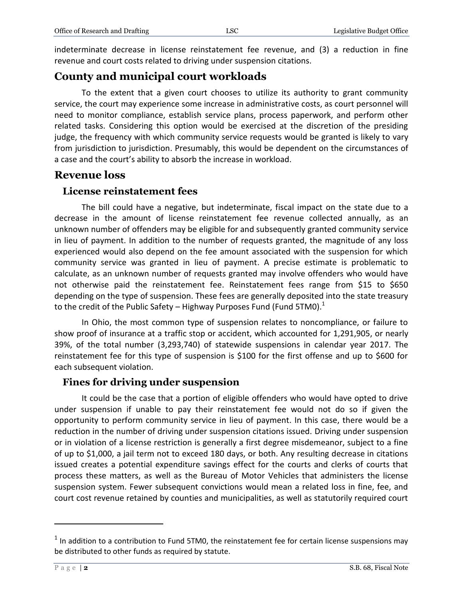indeterminate decrease in license reinstatement fee revenue, and (3) a reduction in fine revenue and court costs related to driving under suspension citations.

## **County and municipal court workloads**

To the extent that a given court chooses to utilize its authority to grant community service, the court may experience some increase in administrative costs, as court personnel will need to monitor compliance, establish service plans, process paperwork, and perform other related tasks. Considering this option would be exercised at the discretion of the presiding judge, the frequency with which community service requests would be granted is likely to vary from jurisdiction to jurisdiction. Presumably, this would be dependent on the circumstances of a case and the court's ability to absorb the increase in workload.

## **Revenue loss**

#### **License reinstatement fees**

The bill could have a negative, but indeterminate, fiscal impact on the state due to a decrease in the amount of license reinstatement fee revenue collected annually, as an unknown number of offenders may be eligible for and subsequently granted community service in lieu of payment. In addition to the number of requests granted, the magnitude of any loss experienced would also depend on the fee amount associated with the suspension for which community service was granted in lieu of payment. A precise estimate is problematic to calculate, as an unknown number of requests granted may involve offenders who would have not otherwise paid the reinstatement fee. Reinstatement fees range from \$15 to \$650 depending on the type of suspension. These fees are generally deposited into the state treasury to the credit of the Public Safety – Highway Purposes Fund (Fund 5TM0). $<sup>1</sup>$ </sup>

In Ohio, the most common type of suspension relates to noncompliance, or failure to show proof of insurance at a traffic stop or accident, which accounted for 1,291,905, or nearly 39%, of the total number (3,293,740) of statewide suspensions in calendar year 2017. The reinstatement fee for this type of suspension is \$100 for the first offense and up to \$600 for each subsequent violation.

### **Fines for driving under suspension**

It could be the case that a portion of eligible offenders who would have opted to drive under suspension if unable to pay their reinstatement fee would not do so if given the opportunity to perform community service in lieu of payment. In this case, there would be a reduction in the number of driving under suspension citations issued. Driving under suspension or in violation of a license restriction is generally a first degree misdemeanor, subject to a fine of up to \$1,000, a jail term not to exceed 180 days, or both. Any resulting decrease in citations issued creates a potential expenditure savings effect for the courts and clerks of courts that process these matters, as well as the Bureau of Motor Vehicles that administers the license suspension system. Fewer subsequent convictions would mean a related loss in fine, fee, and court cost revenue retained by counties and municipalities, as well as statutorily required court

 $\overline{a}$ 

 $<sup>1</sup>$  In addition to a contribution to Fund 5TM0, the reinstatement fee for certain license suspensions may</sup> be distributed to other funds as required by statute.